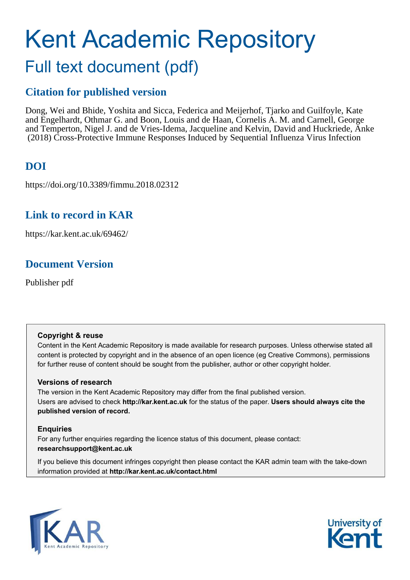# Kent Academic Repository Full text document (pdf)

# **Citation for published version**

Dong, Wei and Bhide, Yoshita and Sicca, Federica and Meijerhof, Tjarko and Guilfoyle, Kate and Engelhardt, Othmar G. and Boon, Louis and de Haan, Cornelis A. M. and Carnell, George and Temperton, Nigel J. and de Vries-Idema, Jacqueline and Kelvin, David and Huckriede, Anke (2018) Cross-Protective Immune Responses Induced by Sequential Influenza Virus Infection

# **DOI**

https://doi.org/10.3389/fimmu.2018.02312

## **Link to record in KAR**

https://kar.kent.ac.uk/69462/

## **Document Version**

Publisher pdf

#### **Copyright & reuse**

Content in the Kent Academic Repository is made available for research purposes. Unless otherwise stated all content is protected by copyright and in the absence of an open licence (eg Creative Commons), permissions for further reuse of content should be sought from the publisher, author or other copyright holder.

#### **Versions of research**

The version in the Kent Academic Repository may differ from the final published version. Users are advised to check **http://kar.kent.ac.uk** for the status of the paper. **Users should always cite the published version of record.**

#### **Enquiries**

For any further enquiries regarding the licence status of this document, please contact: **researchsupport@kent.ac.uk**

If you believe this document infringes copyright then please contact the KAR admin team with the take-down information provided at **http://kar.kent.ac.uk/contact.html**



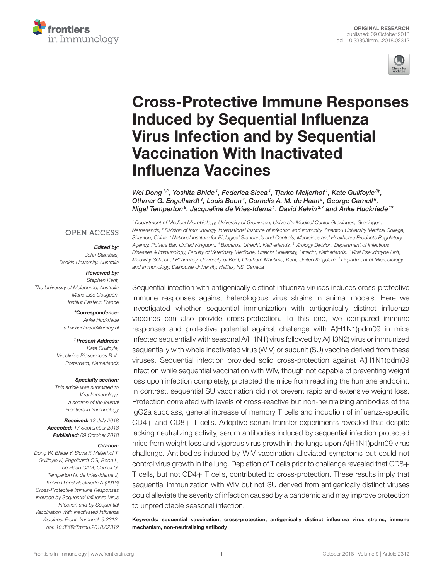



# [Cross-Protective Immune Responses](https://www.frontiersin.org/articles/10.3389/fimmu.2018.02312/full) Induced by Sequential Influenza Virus Infection and by Sequential Vaccination With Inactivated Influenza Vaccines

[Wei Dong](http://loop.frontiersin.org/people/619101/overview)  $^{1,2}$ , [Yoshita Bhide](http://loop.frontiersin.org/people/619345/overview)  $^1$ , [Federica Sicca](http://loop.frontiersin.org/people/618799/overview)  $^1$ , Tjarko Meijerhof  $^1$ , [Kate Guilfoyle](http://loop.frontiersin.org/people/619789/overview)  $^{3\dagger}$ , Othmar G. Engelhardt<sup>3</sup>, [Louis Boon](http://loop.frontiersin.org/people/414549/overview)<sup>4</sup>, [Cornelis A. M. de Haan](http://loop.frontiersin.org/people/21300/overview)<sup>5</sup>, [George Carnell](http://loop.frontiersin.org/people/194858/overview)<sup>6</sup>, [Nigel Temperton](http://loop.frontiersin.org/people/185243/overview)<sup>s</sup>, Jacqueline de Vries-Idema1, David Kelvin<sup>2,7</sup> and [Anke Huckriede](http://loop.frontiersin.org/people/585108/overview)<sup>1</sup>\*

#### **OPEN ACCESS**

#### Edited by:

*John Stambas, Deakin University, Australia*

#### Reviewed by:

*Stephen Kent, The University of Melbourne, Australia Marie-Lise Gougeon, Institut Pasteur, France*

> \*Correspondence: *Anke Huckriede [a.l.w.huckriede@umcg.nl](mailto:a.l.w.huckriede@umcg.nl)*

†Present Address: *Kate Guilfoyle, Viroclinics Biosciences B.V., Rotterdam, Netherlands*

#### Specialty section:

*This article was submitted to Viral Immunology, a section of the journal Frontiers in Immunology*

Received: *13 July 2018* Accepted: *17 September 2018* Published: *09 October 2018*

#### Citation:

*Dong W, Bhide Y, Sicca F, Meijerhof T, Guilfoyle K, Engelhardt OG, Boon L, de Haan CAM, Carnell G, Temperton N, de Vries-Idema J, Kelvin D and Huckriede A (2018) Cross-Protective Immune Responses Induced by Sequential Influenza Virus Infection and by Sequential Vaccination With Inactivated Influenza Vaccines. Front. Immunol. 9:2312. doi: [10.3389/fimmu.2018.02312](https://doi.org/10.3389/fimmu.2018.02312)*

*<sup>1</sup> Department of Medical Microbiology, University of Groningen, University Medical Center Groningen, Groningen, Netherlands, <sup>2</sup> Division of Immunology, International Institute of Infection and Immunity, Shantou University Medical College, Shantou, China, <sup>3</sup> National Institute for Biological Standards and Controls, Medicines and Healthcare Products Regulatory Agency, Potters Bar, United Kingdom, <sup>4</sup> Bioceros, Utrecht, Netherlands, <sup>5</sup> Virology Division, Department of Infectious Diseases & Immunology, Faculty of Veterinary Medicine, Utrecht University, Utrecht, Netherlands, <sup>6</sup> Viral Pseudotype Unit, Medway School of Pharmacy, University of Kent, Chatham Maritime, Kent, United Kingdom, <sup>7</sup> Department of Microbiology and Immunology, Dalhousie University, Halifax, NS, Canada*

Sequential infection with antigenically distinct influenza viruses induces cross-protective immune responses against heterologous virus strains in animal models. Here we investigated whether sequential immunization with antigenically distinct influenza vaccines can also provide cross-protection. To this end, we compared immune responses and protective potential against challenge with A(H1N1)pdm09 in mice infected sequentially with seasonal A(H1N1) virus followed by A(H3N2) virus or immunized sequentially with whole inactivated virus (WIV) or subunit (SU) vaccine derived from these viruses. Sequential infection provided solid cross-protection against A(H1N1)pdm09 infection while sequential vaccination with WIV, though not capable of preventing weight loss upon infection completely, protected the mice from reaching the humane endpoint. In contrast, sequential SU vaccination did not prevent rapid and extensive weight loss. Protection correlated with levels of cross-reactive but non-neutralizing antibodies of the IgG2a subclass, general increase of memory T cells and induction of influenza-specific CD4+ and CD8+ T cells. Adoptive serum transfer experiments revealed that despite lacking neutralizing activity, serum antibodies induced by sequential infection protected mice from weight loss and vigorous virus growth in the lungs upon A(H1N1)pdm09 virus challenge. Antibodies induced by WIV vaccination alleviated symptoms but could not control virus growth in the lung. Depletion of T cells prior to challenge revealed that CD8+ T cells, but not CD4+ T cells, contributed to cross-protection. These results imply that sequential immunization with WIV but not SU derived from antigenically distinct viruses could alleviate the severity of infection caused by a pandemic and may improve protection to unpredictable seasonal infection.

Keywords: sequential vaccination, cross-protection, antigenically distinct influenza virus strains, immune mechanism, non-neutralizing antibody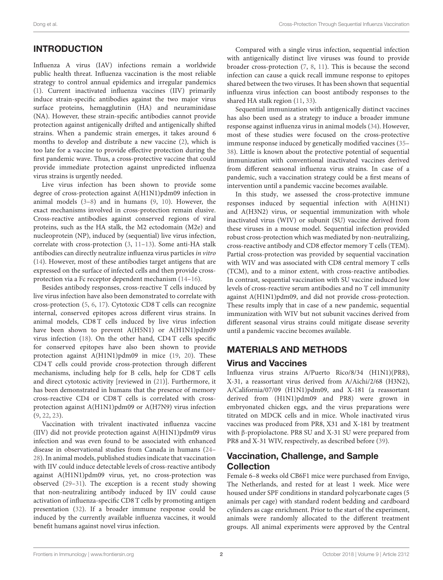#### INTRODUCTION

Influenza A virus (IAV) infections remain a worldwide public health threat. Influenza vaccination is the most reliable strategy to control annual epidemics and irregular pandemics [\(1\)](#page-10-0). Current inactivated influenza vaccines (IIV) primarily induce strain-specific antibodies against the two major virus surface proteins, hemagglutinin (HA) and neuraminidase (NA). However, these strain-specific antibodies cannot provide protection against antigenically drifted and antigenically shifted strains. When a pandemic strain emerges, it takes around 6 months to develop and distribute a new vaccine [\(2\)](#page-10-1), which is too late for a vaccine to provide effective protection during the first pandemic wave. Thus, a cross-protective vaccine that could provide immediate protection against unpredicted influenza virus strains is urgently needed.

Live virus infection has been shown to provide some degree of cross-protection against A(H1N1)pdm09 infection in animal models [\(3](#page-10-2)[–8\)](#page-11-0) and in humans [\(9,](#page-11-1) [10\)](#page-11-2). However, the exact mechanisms involved in cross-protection remain elusive. Cross-reactive antibodies against conserved regions of viral proteins, such as the HA stalk, the M2 ectodomain (M2e) and nucleoprotein (NP), induced by (sequential) live virus infection, correlate with cross-protection [\(3,](#page-10-2) [11](#page-11-3)[–13\)](#page-11-4). Some anti-HA stalk antibodies can directly neutralize influenza virus particles in vitro [\(14\)](#page-11-5). However, most of these antibodies target antigens that are expressed on the surface of infected cells and then provide crossprotection via a Fc receptor dependent mechanism [\(14–](#page-11-5)[16\)](#page-11-6).

Besides antibody responses, cross-reactive T cells induced by live virus infection have also been demonstrated to correlate with cross-protection [\(5,](#page-11-7) [6,](#page-11-8) [17\)](#page-11-9). Cytotoxic CD8 T cells can recognize internal, conserved epitopes across different virus strains. In animal models, CD8 T cells induced by live virus infection have been shown to prevent A(H5N1) or A(H1N1)pdm09 virus infection [\(18\)](#page-11-10). On the other hand, CD4 T cells specific for conserved epitopes have also been shown to provide protection against A(H1N1)pdm09 in mice [\(19,](#page-11-11) [20\)](#page-11-12). These CD4 T cells could provide cross-protection through different mechanisms, including help for B cells, help for CD8 T cells and direct cytotoxic activity [reviewed in [\(21\)](#page-11-13)]. Furthermore, it has been demonstrated in humans that the presence of memory cross-reactive CD4 or CD8 T cells is correlated with crossprotection against A(H1N1)pdm09 or A(H7N9) virus infection [\(9,](#page-11-1) [22,](#page-11-14) [23\)](#page-11-15).

<span id="page-2-0"></span>Vaccination with trivalent inactivated influenza vaccine (IIV) did not provide protection against A(H1N1)pdm09 virus infection and was even found to be associated with enhanced disease in observational studies from Canada in humans [\(24–](#page-11-16) [28\)](#page-11-17). In animal models, published studies indicate that vaccination with IIV could induce detectable levels of cross-reactive antibody against A(H1N1)pdm09 virus, yet, no cross-protection was observed [\(29–](#page-11-18)[31\)](#page-11-19). The exception is a recent study showing that non-neutralizing antibody induced by IIV could cause activation of influenza-specific CD8 T cells by promoting antigen presentation [\(32\)](#page-11-20). If a broader immune response could be induced by the currently available influenza vaccines, it would benefit humans against novel virus infection.

Compared with a single virus infection, sequential infection with antigenically distinct live viruses was found to provide broader cross-protection [\(7,](#page-11-21) [8,](#page-11-0) [11\)](#page-11-3). This is because the second infection can cause a quick recall immune response to epitopes shared between the two viruses. It has been shown that sequential influenza virus infection can boost antibody responses to the shared HA stalk region [\(11,](#page-11-3) [33\)](#page-11-22).

Sequential immunization with antigenically distinct vaccines has also been used as a strategy to induce a broader immune response against influenza virus in animal models [\(34\)](#page-11-23). However, most of these studies were focused on the cross-protective immune response induced by genetically modified vaccines [\(35–](#page-11-24) [38\)](#page-11-25). Little is known about the protective potential of sequential immunization with conventional inactivated vaccines derived from different seasonal influenza virus strains. In case of a pandemic, such a vaccination strategy could be a first means of intervention until a pandemic vaccine becomes available.

In this study, we assessed the cross-protective immune responses induced by sequential infection with A(H1N1) and A(H3N2) virus, or sequential immunization with whole inactivated virus (WIV) or subunit (SU) vaccine derived from these viruses in a mouse model. Sequential infection provided robust cross-protection which was mediated by non-neutralizing, cross-reactive antibody and CD8 effector memory T cells (TEM). Partial cross-protection was provided by sequential vaccination with WIV and was associated with CD8 central memory T cells (TCM), and to a minor extent, with cross-reactive antibodies. In contrast, sequential vaccination with SU vaccine induced low levels of cross-reactive serum antibodies and no T cell immunity against A(H1N1)pdm09, and did not provide cross-protection. These results imply that in case of a new pandemic, sequential immunization with WIV but not subunit vaccines derived from different seasonal virus strains could mitigate disease severity until a pandemic vaccine becomes available.

#### MATERIALS AND METHODS

#### Virus and Vaccines

Influenza virus strains A/Puerto Rico/8/34 (H1N1)(PR8), X-31, a reassortant virus derived from A/Aichi/2/68 (H3N2), A/California/07/09 (H1N1)pdm09, and X-181 (a reassortant derived from (H1N1)pdm09 and PR8) were grown in embryonated chicken eggs, and the virus preparations were titrated on MDCK cells and in mice. Whole inactivated virus vaccines was produced from PR8, X31 and X-181 by treatment with β-propiolactone. PR8 SU and X-31 SU were prepared from PR8 and X-31 WIV, respectively, as described before [\(39\)](#page-11-26).

#### Vaccination, Challenge, and Sample Collection

Female 6–8 weeks old CB6F1 mice were purchased from Envigo, The Netherlands, and rested for at least 1 week. Mice were housed under SPF conditions in standard polycarbonate cages (5 animals per cage) with standard rodent bedding and cardboard cylinders as cage enrichment. Prior to the start of the experiment, animals were randomly allocated to the different treatment groups. All animal experiments were approved by the Central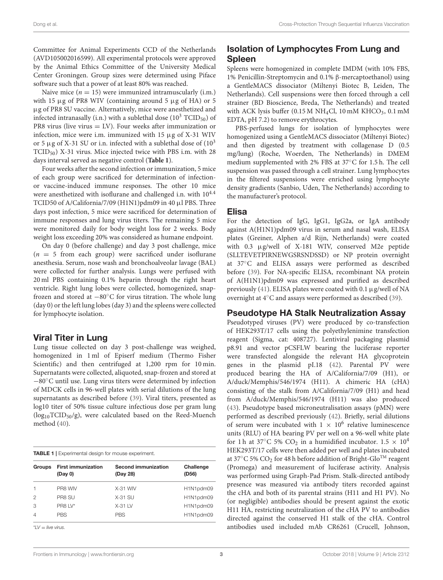Committee for Animal Experiments CCD of the Netherlands (AVD105002016599). All experimental protocols were approved by the Animal Ethics Committee of the University Medical Center Groningen. Group sizes were determined using Piface software such that a power of at least 80% was reached.

Naive mice  $(n = 15)$  were immunized intramuscularly (i.m.) with 15  $\mu$ g of PR8 WIV (containing around 5  $\mu$ g of HA) or 5 µg of PR8 SU vaccine. Alternatively, mice were anesthetized and infected intranasally (i.n.) with a sublethal dose  $(10^3 \text{ TCID}_{50})$  of PR8 virus (live virus = LV). Four weeks after immunization or infection, mice were i.m. immunized with 15 µg of X-31 WIV or 5  $\mu$ g of X-31 SU or i.n. infected with a sublethal dose of  $(10^3)$ TCID50) X-31 virus. Mice injected twice with PBS i.m. with 28 days interval served as negative control (**[Table 1](#page-2-0)**).

Four weeks after the second infection or immunization, 5 mice of each group were sacrificed for determination of infectionor vaccine-induced immune responses. The other 10 mice were anesthetized with isoflurane and challenged i.n. with  $10^{4.4}$ TCID50 of A/California/7/09 (H1N1)pdm09 in 40 µl PBS. Three days post infection, 5 mice were sacrificed for determination of immune responses and lung virus titers. The remaining 5 mice were monitored daily for body weight loss for 2 weeks. Body weight loss exceeding 20% was considered as humane endpoint.

On day 0 (before challenge) and day 3 post challenge, mice  $(n = 5$  from each group) were sacrificed under isoflurane anesthesia. Serum, nose wash and bronchoalveolar lavage (BAL) were collected for further analysis. Lungs were perfused with 20 ml PBS containing 0.1% heparin through the right heart ventricle. Right lung lobes were collected, homogenized, snapfrozen and stored at −80◦C for virus titration. The whole lung (day 0) or the left lung lobes (day 3) and the spleens were collected for lymphocyte isolation.

#### Viral Titer in Lung

Lung tissue collected on day 3 post-challenge was weighed, homogenized in 1 ml of Episerf medium (Thermo Fisher Scientific) and then centrifuged at 1,200 rpm for 10 min. Supernatants were collected, aliquoted, snap-frozen and stored at −80◦C until use. Lung virus titers were determined by infection of MDCK cells in 96-well plates with serial dilutions of the lung supernatants as described before [\(39\)](#page-11-26). Viral titers, presented as log10 titer of 50% tissue culture infectious dose per gram lung  $(log_{10}TCID_{50}/g)$ , were calculated based on the Reed-Muench method [\(40\)](#page-12-0).

| <b>TABLE 1</b>   Experimental design for mouse experiment. |                                      |                                        |                    |
|------------------------------------------------------------|--------------------------------------|----------------------------------------|--------------------|
| <b>Groups</b>                                              | <b>First immunization</b><br>(Day 0) | <b>Second immunization</b><br>(Day 28) | Challenge<br>(D56) |
| $\mathbf{1}$                                               | PR8 WIV                              | $X-31$ WIV                             | H1N1pdm09          |
| $\mathfrak{D}$                                             | PR8 SU                               | $X-31$ SU                              | H1N1pdm09          |
| 3                                                          | PR8 LV*                              | $X-31$ LV                              | H1N1pdm09          |
| $\overline{4}$                                             | <b>PBS</b>                           | <b>PBS</b>                             | H1N1pdm09          |

\**LV* = *live virus.*

#### Isolation of Lymphocytes From Lung and Spleen

Spleens were homogenized in complete IMDM (with 10% FBS, 1% Penicillin-Streptomycin and 0.1% β-mercaptoethanol) using a GentleMACS dissociator (Miltenyi Biotec B, Leiden, The Netherlands). Cell suspensions were then forced through a cell strainer (BD Bioscience, Breda, The Netherlands) and treated with ACK lysis buffer (0.15 M NH<sub>4</sub>Cl, 10 mM KHCO<sub>3</sub>, 0.1 mM EDTA, pH 7.2) to remove erythrocytes.

PBS-perfused lungs for isolation of lymphocytes were homogenized using a GentleMACS dissociator (Miltenyi Biotec) and then digested by treatment with collagenase D (0.5 mg/lung) (Roche, Woerden, The Netherlands) in DMEM medium supplemented with 2% FBS at 37◦C for 1.5 h. The cell suspension was passed through a cell strainer. Lung lymphocytes in the filtered suspensions were enriched using lymphocyte density gradients (Sanbio, Uden, The Netherlands) according to the manufacturer's protocol.

#### Elisa

For the detection of IgG, IgG1, IgG2a, or IgA antibody against A(H1N1)pdm09 virus in serum and nasal wash, ELISA plates (Greiner, Alphen a/d Rijn, Netherlands) were coated with 0.3 µg/well of X-181 WIV, conserved M2e peptide (SLLTEVETPIRNEWGSRSNDSSD) or NP protein overnight at 37◦C and ELISA assays were performed as described before [\(39\)](#page-11-26). For NA-specific ELISA, recombinant NA protein of A(H1N1)pdm09 was expressed and purified as described previously [\(41\)](#page-12-1). ELISA plates were coated with 0.1 µg/well of NA overnight at 4◦C and assays were performed as described [\(39\)](#page-11-26).

#### Pseudotype HA Stalk Neutralization Assay

Pseudotyped viruses (PV) were produced by co-transfection of HEK293T/17 cells using the polyethylenimine transfection reagent (Sigma, cat: 408727). Lentiviral packaging plasmid p8.91 and vector pCSFLW bearing the luciferase reporter were transfected alongside the relevant HA glycoprotein genes in the plasmid pI.18 [\(42\)](#page-12-2). Parental PV were produced bearing the HA of A/California/7/09 (H1), or A/duck/Memphis/546/1974 (H11). A chimeric HA (cHA) consisting of the stalk from A/California/7/09 (H1) and head from A/duck/Memphis/546/1974 (H11) was also produced [\(43\)](#page-12-3). Pseudotype based microneutralisation assays (pMN) were performed as described previously [\(42\)](#page-12-2). Briefly, serial dilutions of serum were incubated with  $1 \times 10^6$  relative luminescence units (RLU) of HA bearing PV per well on a 96-well white plate for 1 h at 37°C 5% CO<sub>2</sub> in a humidified incubator.  $1.5 \times 10^4$ HEK293T/17 cells were then added per well and plates incubated at 37 $\mathrm{^{\circ}C}$  5% CO<sub>2</sub> for 48 h before addition of Bright-Glo<sup>TM</sup> reagent (Promega) and measurement of luciferase activity. Analysis was performed using Graph-Pad Prism. Stalk-directed antibody presence was measured via antibody titers recorded against the cHA and both of its parental strains (H11 and H1 PV). No (or negligible) antibodies should be present against the exotic H11 HA, restricting neutralization of the cHA PV to antibodies directed against the conserved H1 stalk of the cHA. Control antibodies used included mAb CR6261 (Crucell, Johnson,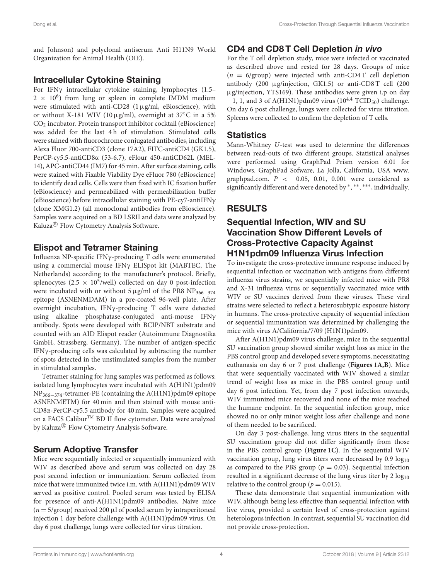and Johnson) and polyclonal antiserum Anti H11N9 World Organization for Animal Health (OIE).

#### Intracellular Cytokine Staining

For IFNγ intracellular cytokine staining, lymphocytes (1.5–  $2 \times 10^6$ ) from lung or spleen in complete IMDM medium were stimulated with anti-CD28 (1µg/ml, eBioscience), with or without X-181 WIV (10µg/ml), overnight at 37°C in a 5% CO<sup>2</sup> incubator. Protein transport inhibitor cocktail (eBioscience) was added for the last 4h of stimulation. Stimulated cells were stained with fluorochrome conjugated antibodies, including Alexa Fluor 700-antiCD3 (clone 17A2), FITC-antiCD4 (GK1.5), PerCP-cy5.5-antiCD8α (53-6.7), eFlour 450-antiCD62L (MEL-14), APC-antiCD44 (IM7) for 45 min. After surface staining, cells were stained with Fixable Viability Dye eFluor 780 (eBioscience) to identify dead cells. Cells were then fixed with IC fixation buffer (eBioscience) and permeabilized with permeabilization buffer (eBioscience) before intracellular staining with PE-cy7-antiIFNγ (clone XMG1.2) (all monoclonal antibodies from eBioscience). Samples were acquired on a BD LSRII and data were analyzed by Kaluza<sup>®</sup> Flow Cytometry Analysis Software.

#### <span id="page-4-0"></span>Elispot and Tetramer Staining

Influenza NP-specific IFNγ-producing T cells were enumerated using a commercial mouse IFNγ ELISpot kit (MABTEC, The Netherlands) according to the manufacturer's protocol. Briefly, splenocytes (2.5  $\times$  10<sup>5</sup>/well) collected on day 0 post-infection were incubated with or without  $5 \mu g/ml$  of the PR8 NP<sub>366−374</sub> epitope (ASNENMDAM) in a pre-coated 96-well plate. After overnight incubation, IFNγ-producing T cells were detected using alkaline phosphatase-conjugated anti-mouse IFNγ antibody. Spots were developed with BCIP/NBT substrate and counted with an AID Elispot reader (Autoimmune Diagnostika GmbH, Strassberg, Germany). The number of antigen-specific IFNγ-producing cells was calculated by subtracting the number of spots detected in the unstimulated samples from the number in stimulated samples.

Tetramer staining for lung samples was performed as follows: isolated lung lymphocytes were incubated with A(H1N1)pdm09 NP366−374-tetramer-PE (containing the A(H1N1)pdm09 epitope ASNENMETM) for 40 min and then stained with mouse anti-CD8α-PerCP-cy5.5 antibody for 40 min. Samples were acquired on a FACS Calibur™ BD II flow cytometer. Data were analyzed by Kaluza<sup>®</sup> Flow Cytometry Analysis Software.

#### Serum Adoptive Transfer

Mice were sequentially infected or sequentially immunized with WIV as described above and serum was collected on day 28 post second infection or immunization. Serum collected from mice that were immunized twice i.m. with A(H1N1)pdm09 WIV served as positive control. Pooled serum was tested by ELISA for presence of anti-A(H1N1)pdm09 antibodies. Naive mice  $(n = 5/\text{group})$  received 200 µl of pooled serum by intraperitoneal injection 1 day before challenge with A(H1N1)pdm09 virus. On day 6 post challenge, lungs were collected for virus titration.

#### CD4 and CD8 T Cell Depletion in vivo

For the T cell depletion study, mice were infected or vaccinated as described above and rested for 28 days. Groups of mice  $(n = 6$ /group) were injected with anti-CD4T cell depletion antibody (200 µg/injection, GK1.5) or anti-CD8 T cell (200 µg/injection, YTS169). These antibodies were given i.p on day  $-1$ , 1, and 3 of A(H1N1)pdm09 virus (10<sup>4.4</sup> TCID<sub>50</sub>) challenge. On day 6 post challenge, lungs were collected for virus titration. Spleens were collected to confirm the depletion of T cells.

#### **Statistics**

Mann-Whitney U-test was used to determine the differences between read-outs of two different groups. Statistical analyses were performed using GraphPad Prism version 6.01 for Windows. GraphPad Sofware, La Jolla, California, USA [www.](www.graphpad.com) [graphpad.com.](www.graphpad.com)  $P < 0.05, 0.01, 0.001$  were considered as significantly different and were denoted by \*, \*\*\*, \*\*\*\*, individually.

#### RESULTS

#### Sequential Infection, WIV and SU Vaccination Show Different Levels of Cross-Protective Capacity Against H1N1pdm09 Influenza Virus Infection

To investigate the cross-protective immune response induced by sequential infection or vaccination with antigens from different influenza virus strains, we sequentially infected mice with PR8 and X-31 influenza virus or sequentially vaccinated mice with WIV or SU vaccines derived from these viruses. These viral strains were selected to reflect a heterosubtypic exposure history in humans. The cross-protective capacity of sequential infection or sequential immunization was determined by challenging the mice with virus A/California/7/09 (H1N1)pdm09.

After A(H1N1)pdm09 virus challenge, mice in the sequential SU vaccination group showed similar weight loss as mice in the PBS control group and developed severe symptoms, necessitating euthanasia on day 6 or 7 post challenge (**[Figures 1A,B](#page-4-0)**). Mice that were sequentially vaccinated with WIV showed a similar trend of weight loss as mice in the PBS control group until day 6 post infection. Yet, from day 7 post infection onwards, WIV immunized mice recovered and none of the mice reached the humane endpoint. In the sequential infection group, mice showed no or only minor weight loss after challenge and none of them needed to be sacrificed.

On day 3 post-challenge, lung virus titers in the sequential SU vaccination group did not differ significantly from those in the PBS control group (**[Figure 1C](#page-4-0)**). In the sequential WIV vaccination group, lung virus titers were decreased by 0.9 log<sub>10</sub> as compared to the PBS group ( $p = 0.03$ ). Sequential infection resulted in a significant decrease of the lung virus titer by  $2 \log_{10}$ relative to the control group ( $p = 0.015$ ).

These data demonstrate that sequential immunization with WIV, although being less effective than sequential infection with live virus, provided a certain level of cross-protection against heterologous infection. In contrast, sequential SU vaccination did not provide cross-protection.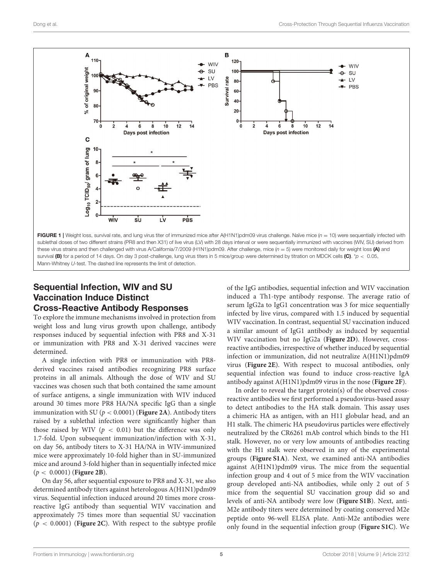

#### Sequential Infection, WIV and SU Vaccination Induce Distinct Cross-Reactive Antibody Responses

To explore the immune mechanisms involved in protection from weight loss and lung virus growth upon challenge, antibody responses induced by sequential infection with PR8 and X-31 or immunization with PR8 and X-31 derived vaccines were determined.

<span id="page-5-0"></span>A single infection with PR8 or immunization with PR8 derived vaccines raised antibodies recognizing PR8 surface proteins in all animals. Although the dose of WIV and SU vaccines was chosen such that both contained the same amount of surface antigens, a single immunization with WIV induced around 30 times more PR8 HA/NA specific IgG than a single immunization with SU ( $p < 0.0001$ ) (**[Figure 2A](#page-5-0)**). Antibody titers raised by a sublethal infection were significantly higher than those raised by WIV ( $p < 0.01$ ) but the difference was only 1.7-fold. Upon subsequent immunization/infection with X-31, on day 56, antibody titers to X-31 HA/NA in WIV-immunized mice were approximately 10-fold higher than in SU-immunized mice and around 3-fold higher than in sequentially infected mice (p < 0.0001) (**[Figure 2B](#page-5-0)**).

On day 56, after sequential exposure to PR8 and X-31, we also determined antibody titers against heterologous A(H1N1)pdm09 virus. Sequential infection induced around 20 times more crossreactive IgG antibody than sequential WIV vaccination and approximately 75 times more than sequential SU vaccination  $(p < 0.0001)$  (**[Figure 2C](#page-5-0)**). With respect to the subtype profile of the IgG antibodies, sequential infection and WIV vaccination induced a Th1-type antibody response. The average ratio of serum IgG2a to IgG1 concentration was 3 for mice sequentially infected by live virus, compared with 1.5 induced by sequential WIV vaccination. In contrast, sequential SU vaccination induced a similar amount of IgG1 antibody as induced by sequential WIV vaccination but no IgG2a (**[Figure 2D](#page-5-0)**). However, crossreactive antibodies, irrespective of whether induced by sequential infection or immunization, did not neutralize A(H1N1)pdm09 virus (**[Figure 2E](#page-5-0)**). With respect to mucosal antibodies, only sequential infection was found to induce cross-reactive IgA antibody against A(H1N1)pdm09 virus in the nose (**[Figure 2F](#page-5-0)**).

In order to reveal the target protein(s) of the observed crossreactive antibodies we first performed a pseudovirus-based assay to detect antibodies to the HA stalk domain. This assay uses a chimeric HA as antigen, with an H11 globular head, and an H1 stalk. The chimeric HA pseudovirus particles were effectively neutralized by the CR6261 mAb control which binds to the H1 stalk. However, no or very low amounts of antibodies reacting with the H1 stalk were observed in any of the experimental groups (**[Figure S1A](#page-10-3)**). Next, we examined anti-NA antibodies against A(H1N1)pdm09 virus. The mice from the sequential infection group and 4 out of 5 mice from the WIV vaccination group developed anti-NA antibodies, while only 2 out of 5 mice from the sequential SU vaccination group did so and levels of anti-NA antibody were low (**[Figure S1B](#page-10-3)**). Next, anti-M2e antibody titers were determined by coating conserved M2e peptide onto 96-well ELISA plate. Anti-M2e antibodies were only found in the sequential infection group (**[Figure S1C](#page-10-3)**). We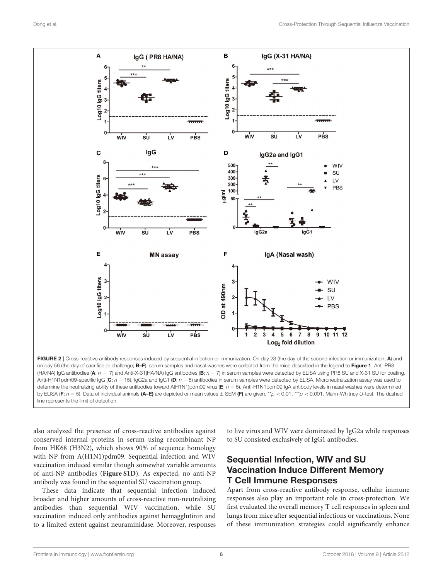

line represents the limit of detection.

also analyzed the presence of cross-reactive antibodies against conserved internal proteins in serum using recombinant NP from HK68 (H3N2), which shows 90% of sequence homology with NP from A(H1N1)pdm09. Sequential infection and WIV vaccination induced similar though somewhat variable amounts of anti-NP antibodies (**[Figure S1D](#page-10-3)**). As expected, no anti-NP antibody was found in the sequential SU vaccination group.

These data indicate that sequential infection induced broader and higher amounts of cross-reactive non-neutralizing antibodies than sequential WIV vaccination, while SU vaccination induced only antibodies against hemagglutinin and to a limited extent against neuraminidase. Moreover, responses to live virus and WIV were dominated by IgG2a while responses to SU consisted exclusively of IgG1 antibodies.

#### Sequential Infection, WIV and SU Vaccination Induce Different Memory T Cell Immune Responses

Apart from cross-reactive antibody response, cellular immune responses also play an important role in cross-protection. We first evaluated the overall memory T cell responses in spleen and lungs from mice after sequential infections or vaccinations. None of these immunization strategies could significantly enhance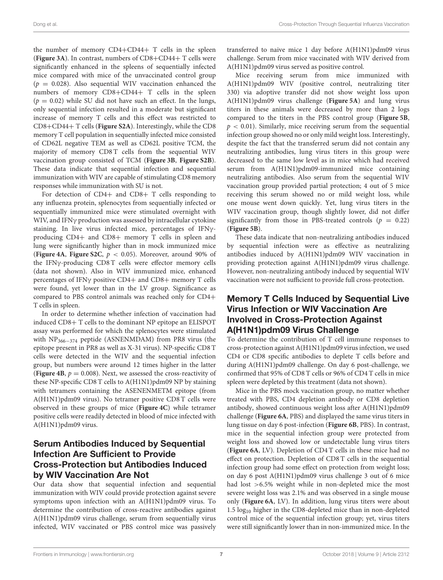the number of memory CD4+CD44+ T cells in the spleen (**[Figure 3A](#page-7-0)**). In contrast, numbers of CD8+CD44+ T cells were significantly enhanced in the spleens of sequentially infected mice compared with mice of the unvaccinated control group  $(p = 0.028)$ . Also sequential WIV vaccination enhanced the numbers of memory CD8+CD44+ T cells in the spleen  $(p = 0.02)$  while SU did not have such an effect. In the lungs, only sequential infection resulted in a moderate but significant increase of memory T cells and this effect was restricted to CD8+CD44+ T cells (**[Figure S2A](#page-10-3)**). Interestingly, while the CD8 memory T cell population in sequentially infected mice consisted of CD62L negative TEM as well as CD62L positive TCM, the majority of memory CD8 T cells from the sequential WIV vaccination group consisted of TCM (**[Figure 3B](#page-7-0)**, **[Figure S2B](#page-10-3)**). These data indicate that sequential infection and sequential immunization with WIV are capable of stimulating CD8 memory responses while immunization with SU is not.

<span id="page-7-0"></span>For detection of CD4+ and CD8+ T cells responding to any influenza protein, splenocytes from sequentially infected or sequentially immunized mice were stimulated overnight with WIV, and IFNγ production was assessed by intracellular cytokine staining. In live virus infected mice, percentages of IFNγproducing CD4+ and CD8+ memory T cells in spleen and lung were significantly higher than in mock immunized mice (**[Figure 4A](#page-7-1)**, **[Figure S2C](#page-10-3)**, p < 0.05). Moreover, around 90% of the IFNγ-producing CD8 T cells were effector memory cells (data not shown). Also in WIV immunized mice, enhanced percentages of IFNγ positive CD4+ and CD8+ memory T cells were found, yet lower than in the LV group. Significance as compared to PBS control animals was reached only for CD4+ T cells in spleen.

In order to determine whether infection of vaccination had induced CD8+ T cells to the dominant NP epitope an ELISPOT assay was performed for which the splenocytes were stimulated with NP366−<sup>374</sup> peptide (ASNENMDAM) from PR8 virus (the epitope present in PR8 as well as X-31 virus). NP-specific CD8 T cells were detected in the WIV and the sequential infection group, but numbers were around 12 times higher in the latter (**[Figure 4B](#page-7-1)**,  $p = 0.008$ ). Next, we assessed the cross-reactivity of these NP-specific CD8 T cells to A(H1N1)pdm09 NP by staining with tetramers containing the ASENENMETM epitope (from A(H1N1)pdm09 virus). No tetramer positive CD8 T cells were observed in these groups of mice (**[Figure 4C](#page-7-1)**) while tetramer positive cells were readily detected in blood of mice infected with A(H1N1)pdm09 virus.

#### <span id="page-7-1"></span>Serum Antibodies Induced by Sequential Infection Are Sufficient to Provide Cross-Protection but Antibodies Induced by WIV Vaccination Are Not

Our data show that sequential infection and sequential immunization with WIV could provide protection against severe symptoms upon infection with an A(H1N1)pdm09 virus. To determine the contribution of cross-reactive antibodies against A(H1N1)pdm09 virus challenge, serum from sequentially virus infected, WIV vaccinated or PBS control mice was passively transferred to naive mice 1 day before A(H1N1)pdm09 virus challenge. Serum from mice vaccinated with WIV derived from A(H1N1)pdm09 virus served as positive control.

Mice receiving serum from mice immunized with A(H1N1)pdm09 WIV (positive control, neutralizing titer 330) via adoptive transfer did not show weight loss upon A(H1N1)pdm09 virus challenge (**[Figure 5A](#page-8-0)**) and lung virus titers in these animals were decreased by more than 2 logs compared to the titers in the PBS control group (**[Figure 5B](#page-8-0)**,  $p < 0.01$ ). Similarly, mice receiving serum from the sequential infection group showed no or only mild weight loss. Interestingly, despite the fact that the transferred serum did not contain any neutralizing antibodies, lung virus titers in this group were decreased to the same low level as in mice which had received serum from A(H1N1)pdm09-immunized mice containing neutralizing antibodies. Also serum from the sequential WIV vaccination group provided partial protection; 4 out of 5 mice receiving this serum showed no or mild weight loss, while one mouse went down quickly. Yet, lung virus titers in the WIV vaccination group, though slightly lower, did not differ significantly from those in PBS-treated controls ( $p = 0.22$ ) (**[Figure 5B](#page-8-0)**).

These data indicate that non-neutralizing antibodies induced by sequential infection were as effective as neutralizing antibodies induced by A(H1N1)pdm09 WIV vaccination in providing protection against A(H1N1)pdm09 virus challenge. However, non-neutralizing antibody induced by sequential WIV vaccination were not sufficient to provide full cross-protection.

#### Memory T Cells Induced by Sequential Live Virus Infection or WIV Vaccination Are Involved in Cross-Protection Against A(H1N1)pdm09 Virus Challenge

To determine the contribution of T cell immune responses to cross-protection against A(H1N1)pdm09 virus infection, we used CD4 or CD8 specific antibodies to deplete T cells before and during A(H1N1)pdm09 challenge. On day 6 post-challenge, we confirmed that 95% of CD8 T cells or 96% of CD4 T cells in mice spleen were depleted by this treatment (data not shown).

Mice in the PBS mock vaccination group, no matter whether treated with PBS, CD4 depletion antibody or CD8 depletion antibody, showed continuous weight loss after A(H1N1)pdm09 challenge (**[Figure 6A](#page-9-0)**, PBS) and displayed the same virus titers in lung tissue on day 6 post-infection (**[Figure 6B](#page-9-0)**, PBS). In contrast, mice in the sequential infection group were protected from weight loss and showed low or undetectable lung virus titers (**[Figure 6A](#page-9-0)**, LV). Depletion of CD4 T cells in these mice had no effect on protection. Depletion of CD8 T cells in the sequential infection group had some effect on protection from weight loss; on day 6 post A(H1N1)pdm09 virus challenge 3 out of 6 mice had lost >6.5% weight while in non-depleted mice the most severe weight loss was 2.1% and was observed in a single mouse only (**[Figure 6A](#page-9-0)**, LV). In addition, lung virus titers were about 1.5 log<sup>10</sup> higher in the CD8-depleted mice than in non-depleted control mice of the sequential infection group; yet, virus titers were still significantly lower than in non-immunized mice. In the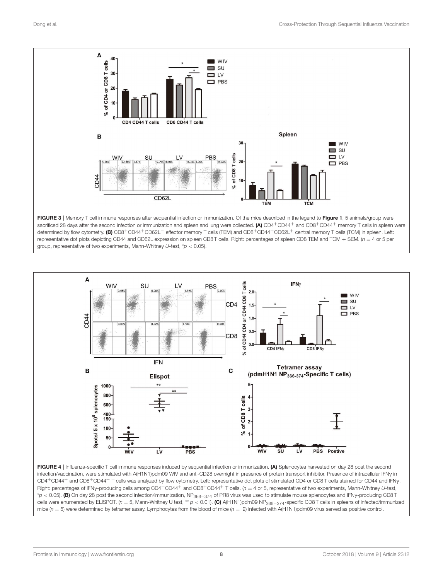

<span id="page-8-0"></span>FIGURE 3 | Memory T cell immune responses after sequential infection or immunization. Of the mice described in the legend to [Figure 1](#page-4-0), 5 animals/group were sacrificed 28 days after the second infection or immunization and spleen and lung were collected. (A) CD4+CD44+ and CD8+CD44+ memory T cells in spleen were determined by flow cytometry. (B) CD8+CD44+CD62L<sup>−</sup> effector memory T cells (TEM) and CD8+CD44+CD62L<sup>+</sup> central memory T cells (TCM) in spleen. Left: representative dot plots depicting CD44 and CD62L expression on spleen CD8 T cells. Right: percentages of spleen CD8 TEM and TCM + SEM. (*n* = 4 or 5 per group, representative of two experiments, Mann-Whitney *U*-test, \**p* < 0.05).



FIGURE 4 | Influenza-specific T cell immune responses induced by sequential infection or immunization. (A) Splenocytes harvested on day 28 post the second infection/vaccination, were stimulated with A(H1N1)pdm09 WIV and anti-CD28 overnight in presence of protein transport inhibitor. Presence of intracellular IFN<sub>Y</sub> in CD4+CD44<sup>+</sup> and CD8+CD44<sup>+</sup> T cells was analyzed by flow cytometry. Left: representative dot plots of stimulated CD4 or CD8 T cells stained for CD44 and IFNγ. Right: percentages of IFN<sub>Y</sub>-producing cells among CD4<sup>+</sup>CD44<sup>+</sup> and CD8<sup>+</sup>CD44<sup>+</sup> T cells. (*n* = 4 or 5, representative of two experiments, Mann-Whitney U-test, \**<sup>p</sup>* <sup>&</sup>lt; 0.05). (B) On day 28 post the second infection/immunization, NP366−<sup>374</sup> of PR8 virus was used to stimulate mouse splenocytes and IFNγ-producing CD8 T cells were enumerated by ELISPOT. (*n* = 5, Mann-Whitney U test, \*\* *p* < 0.01). (C) A(H1N1)pdm09 NP<sub>366−374</sub>-specific CD8T cells in spleens of infected/immunized mice ( $n = 5$ ) were determined by tetramer assay. Lymphocytes from the blood of mice ( $n = 2$ ) infected with A(H1N1)pdm09 virus served as positive control.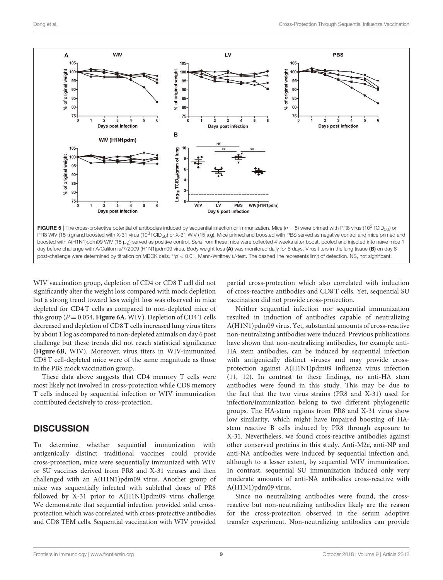

<span id="page-9-0"></span>WIV vaccination group, depletion of CD4 or CD8 T cell did not significantly alter the weight loss compared with mock depletion but a strong trend toward less weight loss was observed in mice depleted for CD4 T cells as compared to non-depleted mice of this group ( $P = 0.054$ , **[Figure 6A](#page-9-0)**, WIV). Depletion of CD4 T cells decreased and depletion of CD8 T cells increased lung virus titers by about 1 log as compared to non-depleted animals on day 6 post challenge but these trends did not reach statistical significance (**[Figure 6B](#page-9-0)**, WIV). Moreover, virus titers in WIV-immunized CD8 T cell-depleted mice were of the same magnitude as those in the PBS mock vaccination group.

These data above suggests that CD4 memory T cells were most likely not involved in cross-protection while CD8 memory T cells induced by sequential infection or WIV immunization contributed decisively to cross-protection.

#### **DISCUSSION**

To determine whether sequential immunization with antigenically distinct traditional vaccines could provide cross-protection, mice were sequentially immunized with WIV or SU vaccines derived from PR8 and X-31 viruses and then challenged with an A(H1N1)pdm09 virus. Another group of mice was sequentially infected with sublethal doses of PR8 followed by X-31 prior to A(H1N1)pdm09 virus challenge. We demonstrate that sequential infection provided solid crossprotection which was correlated with cross-protective antibodies and CD8 TEM cells. Sequential vaccination with WIV provided partial cross-protection which also correlated with induction of cross-reactive antibodies and CD8 T cells. Yet, sequential SU vaccination did not provide cross-protection.

Neither sequential infection nor sequential immunization resulted in induction of antibodies capable of neutralizing A(H1N1)pdm09 virus. Yet, substantial amounts of cross-reactive non-neutralizing antibodies were induced. Previous publications have shown that non-neutralizing antibodies, for example anti-HA stem antibodies, can be induced by sequential infection with antigenically distinct viruses and may provide crossprotection against A(H1N1)pdm09 influenza virus infection [\(11,](#page-11-3) [12\)](#page-11-27). In contrast to these findings, no anti-HA stem antibodies were found in this study. This may be due to the fact that the two virus strains (PR8 and X-31) used for infection/immunization belong to two different phylogenetic groups. The HA-stem regions from PR8 and X-31 virus show low similarity, which might have impaired boosting of HAstem reactive B cells induced by PR8 through exposure to X-31. Nevertheless, we found cross-reactive antibodies against other conserved proteins in this study. Anti-M2e, anti-NP and anti-NA antibodies were induced by sequential infection and, although to a lesser extent, by sequential WIV immunization. In contrast, sequential SU immunization induced only very moderate amounts of anti-NA antibodies cross-reactive with A(H1N1)pdm09 virus.

Since no neutralizing antibodies were found, the crossreactive but non-neutralizing antibodies likely are the reason for the cross-protection observed in the serum adoptive transfer experiment. Non-neutralizing antibodies can provide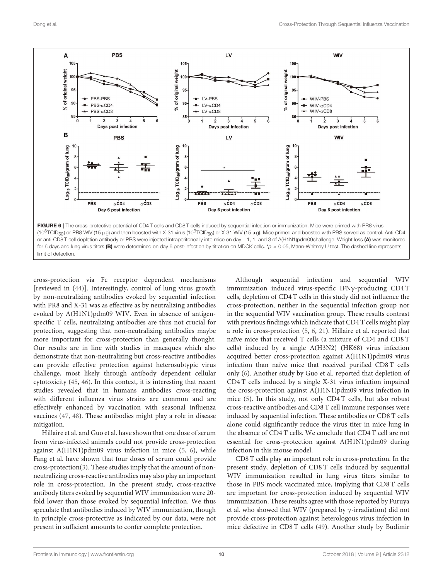

cross-protection via Fc receptor dependent mechanisms [reviewed in [\(44\)](#page-12-4)]. Interestingly, control of lung virus growth by non-neutralizing antibodies evoked by sequential infection with PR8 and X-31 was as effective as by neutralizing antibodies evoked by A(H1N1)pdm09 WIV. Even in absence of antigenspecific T cells, neutralizing antibodies are thus not crucial for protection, suggesting that non-neutralizing antibodies maybe more important for cross-protection than generally thought. Our results are in line with studies in macaques which also demonstrate that non-neutralizing but cross-reactive antibodies can provide effective protection against heterosubtypic virus challenge, most likely through antibody dependent cellular cytotoxicity [\(45,](#page-12-5) [46\)](#page-12-6). In this context, it is interesting that recent studies revealed that in humans antibodies cross-reacting with different influenza virus strains are common and are effectively enhanced by vaccination with seasonal influenza vaccines [\(47,](#page-12-7) [48\)](#page-12-8). These antibodies might play a role in disease mitigation.

<span id="page-10-1"></span><span id="page-10-0"></span>Hillaire et al. and Guo et al. have shown that one dose of serum from virus-infected animals could not provide cross-protection against A(H1N1)pdm09 virus infection in mice [\(5,](#page-11-7) [6\)](#page-11-8), while Fang et al. have shown that four doses of serum could provide cross-protection[\(3\)](#page-10-2). These studies imply that the amount of nonneutralizing cross-reactive antibodies may also play an important role in cross-protection. In the present study, cross-reactive antibody titers evoked by sequential WIV immunization were 20 fold lower than those evoked by sequential infection. We thus speculate that antibodies induced by WIV immunization, though in principle cross-protective as indicated by our data, were not present in sufficient amounts to confer complete protection.

Although sequential infection and sequential WIV immunization induced virus-specific IFNγ-producing CD4 T cells, depletion of CD4 T cells in this study did not influence the cross-protection, neither in the sequential infection group nor in the sequential WIV vaccination group. These results contrast with previous findings which indicate that CD4 T cells might play a role in cross-protection [\(5,](#page-11-7) [6,](#page-11-8) [21\)](#page-11-13). Hillaire et al. reported that naïve mice that received T cells (a mixture of CD4 and CD8 T cells) induced by a single A(H3N2) (HK68) virus infection acquired better cross-protection against A(H1N1)pdm09 virus infection than naïve mice that received purified CD8 T cells only [\(6\)](#page-11-8). Another study by Guo et al. reported that depletion of CD4 T cells induced by a single X-31 virus infection impaired the cross-protection against A(H1N1)pdm09 virus infection in mice [\(5\)](#page-11-7). In this study, not only CD4 T cells, but also robust cross-reactive antibodies and CD8 T cell immune responses were induced by sequential infection. These antibodies or CD8 T cells alone could significantly reduce the virus titer in mice lung in the absence of CD4 T cells. We conclude that CD4 T cell are not essential for cross-protection against A(H1N1)pdm09 during infection in this mouse model.

<span id="page-10-3"></span><span id="page-10-2"></span>CD8 T cells play an important role in cross-protection. In the present study, depletion of CD8 T cells induced by sequential WIV immunization resulted in lung virus titers similar to those in PBS mock vaccinated mice, implying that CD8 T cells are important for cross-protection induced by sequential WIV immunization. These results agree with those reported by Furuya et al. who showed that WIV (prepared by γ-irradiation) did not provide cross-protection against heterologous virus infection in mice defective in CD8 T cells [\(49\)](#page-12-9). Another study by Budimir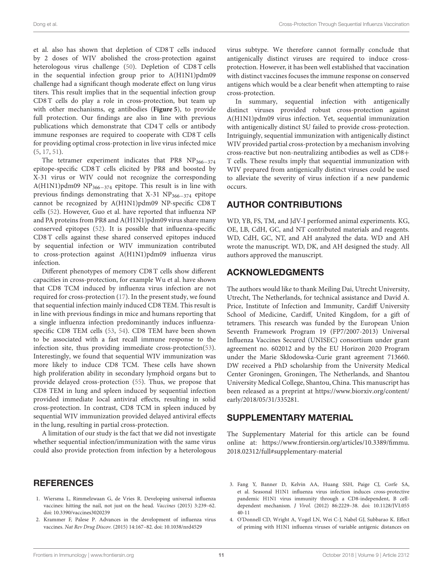<span id="page-11-8"></span><span id="page-11-7"></span>et al. also has shown that depletion of CD8 T cells induced by 2 doses of WIV abolished the cross-protection against heterologous virus challenge [\(50\)](#page-12-10). Depletion of CD8 T cells in the sequential infection group prior to A(H1N1)pdm09 challenge had a significant though moderate effect on lung virus titers. This result implies that in the sequential infection group CD8 T cells do play a role in cross-protection, but team up with other mechanisms, eg antibodies (**[Figure 5](#page-8-0)**), to provide full protection. Our findings are also in line with previous publications which demonstrate that CD4 T cells or antibody immune responses are required to cooperate with CD8 T cells for providing optimal cross-protection in live virus infected mice [\(5,](#page-11-7) [17,](#page-11-9) [51\)](#page-12-11).

<span id="page-11-21"></span><span id="page-11-2"></span><span id="page-11-1"></span><span id="page-11-0"></span>The tetramer experiment indicates that PR8  $NP<sub>366–374</sub>$ epitope-specific CD8 T cells elicited by PR8 and boosted by X-31 virus or WIV could not recognize the corresponding A(H1N1)pdm09 NP366−<sup>374</sup> epitope. This result is in line with previous findings demonstrating that X-31 NP<sub>366−374</sub> epitope cannot be recognized by A(H1N1)pdm09 NP-specific CD8 T cells [\(52\)](#page-12-12). However, Guo et al. have reported that influenza NP and PA proteins from PR8 and A(H1N1)pdm09 virus share many conserved epitopes [\(52\)](#page-12-12). It is possible that influenza-specific CD8 T cells against these shared conserved epitopes induced by sequential infection or WIV immunization contributed to cross-protection against A(H1N1)pdm09 influenza virus infection.

<span id="page-11-27"></span><span id="page-11-5"></span><span id="page-11-4"></span><span id="page-11-3"></span>Different phenotypes of memory CD8 T cells show different capacities in cross-protection, for example Wu et al. have shown that CD8 TCM induced by influenza virus infection are not required for cross-protection [\(17\)](#page-11-9). In the present study, we found that sequential infection mainly induced CD8 TEM. This result is in line with previous findings in mice and humans reporting that a single influenza infection predominantly induces influenzaspecific CD8 TEM cells [\(53,](#page-12-13) [54\)](#page-12-14). CD8 TEM have been shown to be associated with a fast recall immune response to the infection site, thus providing immediate cross-protection[\(53\)](#page-12-13). Interestingly, we found that sequential WIV immunization was more likely to induce CD8 TCM. These cells have shown high proliferation ability in secondary lymphoid organs but to provide delayed cross-protection [\(55\)](#page-12-15). Thus, we propose that CD8 TEM in lung and spleen induced by sequential infection provided immediate local antiviral effects, resulting in solid cross-protection. In contrast, CD8 TCM in spleen induced by sequential WIV immunization provided delayed antiviral effects in the lung, resulting in partial cross-protection.

<span id="page-11-11"></span><span id="page-11-10"></span><span id="page-11-9"></span><span id="page-11-6"></span>A limitation of our study is the fact that we did not investigate whether sequential infection/immunization with the same virus could also provide protection from infection by a heterologous <span id="page-11-15"></span>virus subtype. We therefore cannot formally conclude that antigenically distinct viruses are required to induce crossprotection. However, it has been well established that vaccination with distinct vaccines focuses the immune response on conserved antigens which would be a clear benefit when attempting to raise cross-protection.

<span id="page-11-16"></span>In summary, sequential infection with antigenically distinct viruses provided robust cross-protection against A(H1N1)pdm09 virus infection. Yet, sequential immunization with antigenically distinct SU failed to provide cross-protection. Intriguingly, sequential immunization with antigenically distinct WIV provided partial cross-protection by a mechanism involving cross-reactive but non-neutralizing antibodies as well as CD8+ T cells. These results imply that sequential immunization with WIV prepared from antigenically distinct viruses could be used to alleviate the severity of virus infection if a new pandemic occurs.

#### AUTHOR CONTRIBUTIONS

<span id="page-11-17"></span>WD, YB, FS, TM, and JdV-I performed animal experiments. KG, OE, LB, CdH, GC, and NT contributed materials and reagents. WD, CdH, GC, NT, and AH analyzed the data. WD and AH wrote the manuscript. WD, DK, and AH designed the study. All authors approved the manuscript.

#### <span id="page-11-18"></span>ACKNOWLEDGMENTS

<span id="page-11-20"></span><span id="page-11-19"></span>The authors would like to thank Meiling Dai, Utrecht University, Utrecht, The Netherlands, for technical assistance and David A. Price, Institute of Infection and Immunity, Cardiff University School of Medicine, Cardiff, United Kingdom, for a gift of tetramers. This research was funded by the European Union Seventh Framework Program 19 (FP7/2007-2013) Universal Influenza Vaccines Secured (UNISEC) consortium under grant agreement no. 602012 and by the EU Horizon 2020 Program under the Marie Skłodowska-Curie grant agreement 713660. DW received a PhD scholarship from the University Medical Center Groningen, Groningen, The Netherlands, and Shantou University Medical College, Shantou, China. This manuscript has been released as a preprint at [https://www.biorxiv.org/content/](https://www.biorxiv.org/content/early/2018/05/31/335281) [early/2018/05/31/335281.](https://www.biorxiv.org/content/early/2018/05/31/335281)

#### <span id="page-11-24"></span><span id="page-11-23"></span><span id="page-11-22"></span>SUPPLEMENTARY MATERIAL

The Supplementary Material for this article can be found [online at: https://www.frontiersin.org/articles/10.3389/fimmu.](https://www.frontiersin.org/articles/10.3389/fimmu.2018.02312/full#supplementary-material) 2018.02312/full#supplementary-material

#### <span id="page-11-12"></span>**REFERENCES**

- <span id="page-11-13"></span>1. Wiersma L, Rimmelzwaan G, de Vries R. Developing universal influenza vaccines: hitting the nail, not just on the head. Vaccines (2015) 3:239–62. doi: [10.3390/vaccines3020239](https://doi.org/10.3390/vaccines3020239)
- <span id="page-11-14"></span>2. Krammer F, Palese P. Advances in the development of influenza virus vaccines. Nat Rev Drug Discov. (2015) 14:167–82. doi: [10.1038/nrd4529](https://doi.org/10.1038/nrd4529)
- <span id="page-11-26"></span><span id="page-11-25"></span>3. Fang Y, Banner D, Kelvin AA, Huang SSH, Paige CJ, Corfe SA, et al. Seasonal H1N1 influenza virus infection induces cross-protective pandemic H1N1 virus immunity through a CD8-independent, B celldependent mechanism. J Virol. [\(2012\) 86:2229–38. doi: 10.1128/JVI.055](https://doi.org/10.1128/JVI.05540-11) 40-11
- 4. O'Donnell CD, Wright A, Vogel LN, Wei C-J, Nabel GJ, Subbarao K. Effect of priming with H1N1 influenza viruses of variable antigenic distances on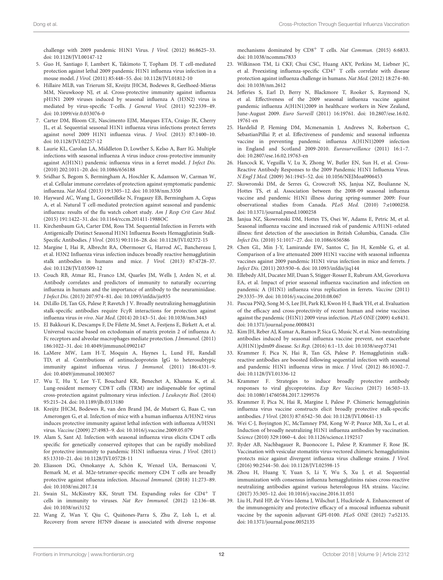<span id="page-12-0"></span>challenge with 2009 pandemic H1N1 Virus. J Virol. (2012) 86:8625–33. doi: [10.1128/JVI.00147-12](https://doi.org/10.1128/JVI.00147-12)

- <span id="page-12-1"></span>5. Guo H, Santiago F, Lambert K, Takimoto T, Topham DJ. T cell-mediated protection against lethal 2009 pandemic H1N1 influenza virus infection in a mouse model. J Virol. (2011) 85:448–55. doi: [10.1128/JVI.01812-10](https://doi.org/10.1128/JVI.01812-10)
- <span id="page-12-2"></span>6. Hillaire MLB, van Trierum SE, Kreijtz JHCM, Bodewes R, Geelhoed-Mieras MM, Nieuwkoop NJ, et al. Cross-protective immunity against influenza pH1N1 2009 viruses induced by seasonal influenza A (H3N2) virus is mediated by virus-specific T-cells. J General Virol. (2011) 92:2339–49. doi: [10.1099/vir.0.033076-0](https://doi.org/10.1099/vir.0.033076-0)
- <span id="page-12-3"></span>7. Carter DM, Bloom CE, Nascimento EJM, Marques ETA, Craigo JK, Cherry JL, et al. Sequential seasonal H1N1 influenza virus infections protect ferrets against novel 2009 H1N1 influenza virus. J Virol. (2013) 87:1400–10. doi: [10.1128/JVI.02257-12](https://doi.org/10.1128/JVI.02257-12)
- <span id="page-12-4"></span>8. Laurie KL, Carolan LA, Middleton D, Lowther S, Kelso A, Barr IG. Multiple infections with seasonal influenza A virus induce cross-protective immunity against A(H1N1) pandemic influenza virus in a ferret model. J Infect Dis. (2010) 202:1011–20. doi: [10.1086/656188](https://doi.org/10.1086/656188)
- <span id="page-12-5"></span>9. Sridhar S, Begom S, Bermingham A, Hoschler K, Adamson W, Carman W, et al. Cellular immune correlates of protection against symptomatic pandemic influenza. Nat Med. (2013) 19:1305–12. doi: [10.1038/nm.3350](https://doi.org/10.1038/nm.3350)
- <span id="page-12-6"></span>10. Hayward AC, Wang L, Goonetilleke N, Fragaszy EB, Bermingham A, Copas A, et al. Natural T cell-mediated protection against seasonal and pandemic influenza: results of the flu watch cohort study. Am J Resp Crit Care Med. (2015) 191:1422–31. doi: [10.1164/rccm.201411-1988OC](https://doi.org/10.1164/rccm.201411-1988OC)
- <span id="page-12-7"></span>11. Kirchenbaum GA, Carter DM, Ross TM. Sequential Infection in Ferrets with Antigenically Distinct Seasonal H1N1 Influenza Boosts Hemagglutinin Stalk-Specific Antibodies. J Virol. (2015) 90:1116–28. doi: [10.1128/JVI.02372-15](https://doi.org/10.1128/JVI.02372-15)
- 12. Margine I, Hai R, Albrecht RA, Obermoser G, Harrod AC, Banchereau J, et al. H3N2 Influenza virus infection induces broadly reactive hemagglutinin stalk antibodies in humans and mice. J Virol. (2013) 87:4728–37. doi: [10.1128/JVI.03509-12](https://doi.org/10.1128/JVI.03509-12)
- <span id="page-12-8"></span>13. Couch RB, Atmar RL, Franco LM, Quarles JM, Wells J, Arden N, et al. Antibody correlates and predictors of immunity to naturally occurring influenza in humans and the importance of antibody to the neuraminidase. J Infect Dis. (2013) 207:974–81. doi: [10.1093/infdis/jis935](https://doi.org/10.1093/infdis/jis935)
- <span id="page-12-9"></span>14. DiLillo DJ, Tan GS, Palese P, Ravetch J V. Broadly neutralizing hemagglutinin stalk-specific antibodies require FcγR interactions for protection against influenza virus in vivo. Nat Med. (2014) 20:143–51. doi: [10.1038/nm.3443](https://doi.org/10.1038/nm.3443)
- 15. El Bakkouri K, Descamps F, De Filette M, Smet A, Festjens E, Birkett A, et al. Universal vaccine based on ectodomain of matrix protein 2 of influenza A: Fc receptors and alveolar macrophages mediate protection. J Immunol. (2011) 186:1022–31. doi: [10.4049/jimmunol.0902147](https://doi.org/10.4049/jimmunol.0902147)
- 16. LaMere MW, Lam H-T, Moquin A, Haynes L, Lund FE, Randall TD, et al. Contributions of antinucleoprotein IgG to heterosubtypic immunity against influenza virus. J Immunol. (2011) 186:4331–9. doi: [10.4049/jimmunol.1003057](https://doi.org/10.4049/jimmunol.1003057)
- 17. Wu T, Hu Y, Lee Y-T, Bouchard KR, Benechet A, Khanna K, et al. Lung-resident memory CD8 T cells (TRM) are indispensable for optimal cross-protection against pulmonary virus infection. J Leukocyte Biol. (2014) 95:215–24. doi: [10.1189/jlb.0313180](https://doi.org/10.1189/jlb.0313180)
- 18. Kreijtz JHCM, Bodewes R, van den Brand JM, de Mutsert G, Baas C, van Amerongen G, et al. Infection of mice with a human influenza A/H3N2 virus induces protective immunity against lethal infection with influenza A/H5N1 virus. Vaccine (2009) 27:4983–9. doi: [10.1016/j.vaccine.2009.05.079](https://doi.org/10.1016/j.vaccine.2009.05.079)
- 19. Alam S, Sant AJ. Infection with seasonal influenza virus elicits CD4 T cells specific for genetically conserved epitopes that can be rapidly mobilized for protective immunity to pandemic H1N1 influenza virus. J Virol. (2011) 85:13310–21. doi: [10.1128/JVI.05728-11](https://doi.org/10.1128/JVI.05728-11)
- 20. Eliasson DG, Omokanye A, Schön K, Wenzel UA, Bernasconi V, Bemark M, et al. M2e-tetramer-specific memory CD4 T cells are broadly protective against nfluenza infection. Mucosal Immunol. (2018) 11:273–89. doi: [10.1038/mi.2017.14](https://doi.org/10.1038/mi.2017.14)
- 21. Swain SL, McKinstry KK, Strutt TM. Expanding roles for CD4<sup>+</sup> T cells in immunity to viruses. Nat Rev Immunol. (2012) 12:136–48. doi: [10.1038/nri3152](https://doi.org/10.1038/nri3152)
- 22. Wang Z, Wan Y, Qiu C, Quiñones-Parra S, Zhu Z, Loh L, et al. Recovery from severe H7N9 disease is associated with diverse response

<span id="page-12-10"></span>mechanisms dominated by CD8<sup>+</sup> T cells. Nat Commun. (2015) 6:6833. doi: [10.1038/ncomms7833](https://doi.org/10.1038/ncomms7833)

- 23. Wilkinson TM, Li CKF, Chui CSC, Huang AKY, Perkins M, Liebner JC, et al. Preexisting influenza-specific CD4<sup>+</sup> T cells correlate with disease protection against influenza challenge in humans. Nat Med. (2012) 18:274–80. doi: [10.1038/nm.2612](https://doi.org/10.1038/nm.2612)
- <span id="page-12-11"></span>24. Jefferies S, Earl D, Berry N, Blackmore T, Rooker S, Raymond N, et al. Effectiveness of the 2009 seasonal influenza vaccine against pandemic influenza A(H1N1)2009 in healthcare workers in New Zealand, June-August 2009. Euro Surveill [\(2011\) 16:19761. doi: 10.2807/ese.16.02.](https://doi.org/10.2807/ese.16.02.19761-en) 19761-en
- <span id="page-12-13"></span><span id="page-12-12"></span>25. Hardelid P, Fleming DM, Mcmenamin J, Andrews N, Robertson C, SebastianPillai P, et al. Effectiveness of pandemic and seasonal influenza vaccine in preventing pandemic influenza A(H1N1)2009 infection in England and Scotland 2009-2010. Eurosurveillance (2011) 16:1–7. doi: [10.2807/ese.16.02.19763-en](https://doi.org/10.2807/ese.16.02.19763-en)
- <span id="page-12-14"></span>26. Hancock K, Veguilla V, Lu X, Zhong W, Butler EN, Sun H, et al. Cross-Reactive Antibody Responses to the 2009 Pandemic H1N1 Influenza Virus. N Engl J Med. (2009) 361:1945–52. doi: [10.1056/NEJMoa0906453](https://doi.org/10.1056/NEJMoa0906453)
- <span id="page-12-15"></span>27. Skowronski DM, de Serres G, Crowcroft NS, Janjua NZ, Boulianne N, Hottes TS, et al. Association between the 2008-09 seasonal influenza vaccine and pandemic H1N1 illness during spring-summer 2009: Four observational studies from Canada. PLoS Med. (2010) 7:e1000258. doi: [10.1371/journal.pmed.1000258](https://doi.org/10.1371/journal.pmed.1000258)
- 28. Janjua NZ, Skowronski DM, Hottes TS, Osei W, Adams E, Petric M, et al. Seasonal influenza vaccine and increased risk of pandemic A/H1N1-related illness: first detection of the association in British Columbia, Canada. Clin Infect Dis. (2010) 51:1017–27. doi: [10.1086/656586](https://doi.org/10.1086/656586)
- 29. Chen GL, Min J-Y, Lamirande EW, Santos C, Jin H, Kemble G, et al. Comparison of a live attenuated 2009 H1N1 vaccine with seasonal influenza vaccines against 2009 pandemic H1N1 virus infection in mice and ferrets. J Infect Dis. (2011) 203:930–6. doi: [10.1093/infdis/jiq144](https://doi.org/10.1093/infdis/jiq144)
- 30. Ellebedy AH, Ducatez MF, Duan S, Stigger-Rosser E, Rubrum AM, Govorkova EA, et al. Impact of prior seasonal influenza vaccination and infection on pandemic A (H1N1) influenza virus replication in ferrets. Vaccine (2011) 29:3335–39. doi: [10.1016/j.vaccine.2010.08.067](https://doi.org/10.1016/j.vaccine.2010.08.067)
- 31. Pascua PNQ, Song M-S, Lee JH, Park KJ, Kwon H-I, Baek YH, et al. Evaluation of the efficacy and cross-protectivity of recent human and swine vaccines against the pandemic (H1N1) 2009 virus infection. PLoS ONE (2009) 4:e8431. doi: [10.1371/journal.pone.0008431](https://doi.org/10.1371/journal.pone.0008431)
- 32. Kim JH, Reber AJ, Kumar A, Ramos P, Sica G, Music N, et al. Non-neutralizing antibodies induced by seasonal influenza vaccine prevent, not exacerbate A(H1N1)pdm09 disease. Sci Rep. (2016) 6:1–13. doi: [10.1038/srep37341](https://doi.org/10.1038/srep37341)
- 33. Krammer F, Pica N, Hai R, Tan GS, Palese P. Hemagglutinin stalkreactive antibodies are boosted following sequential infection with seasonal and pandemic H1N1 influenza virus in mice. J Virol. (2012) 86:10302–7. doi: [10.1128/JVI.01336-12](https://doi.org/10.1128/JVI.01336-12)
- 34. Krammer F. Strategies to induce broadly protective antibody responses to viral glycoproteins. Exp Rev Vaccines (2017) 16:503–13. doi: [10.1080/14760584.2017.1299576](https://doi.org/10.1080/14760584.2017.1299576)
- 35. Krammer F, Pica N, Hai R, Margine I, Palese P. Chimeric hemagglutinin influenza virus vaccine constructs elicit broadly protective stalk-specific antibodies. J Virol. (2013) 87:6542–50. doi: [10.1128/JVI.00641-13](https://doi.org/10.1128/JVI.00641-13)
- 36. Wei C-J, Boyington JC, McTamney PM, Kong W-P, Pearce MB, Xu L, et al. Induction of broadly neutralizing H1N1 influenza antibodies by vaccination. Science (2010) 329:1060–4. doi: [10.1126/science.1192517](https://doi.org/10.1126/science.1192517)
- 37. Ryder AB, Nachbagauer R, Buonocore L, Palese P, Krammer F, Rose JK. Vaccination with vesicular stomatitis virus-vectored chimeric hemagglutinins protects mice against divergent influenza virus challenge strains. J Virol. (2016) 90:2544–50. doi: [10.1128/JVI.02598-15](https://doi.org/10.1128/JVI.02598-15)
- 38. Zhou H, Huang Y, Yuan S, Li Y, Wu S, Xu J, et al. Sequential immunization with consensus influenza hemagglutinins raises cross-reactive neutralizing antibodies against various heterologous HA strains. Vaccine. (2017) 35:305–12. doi: [10.1016/j.vaccine.2016.11.051](https://doi.org/10.1016/j.vaccine.2016.11.051)
- 39. Liu H, Patil HP, de Vries-Idema J, Wilschut J, Huckriede A. Enhancement of the immunogenicity and protective efficacy of a mucosal influenza subunit vaccine by the saponin adjuvant GPI-0100. PLoS ONE (2012) 7:e52135. doi: [10.1371/journal.pone.0052135](https://doi.org/10.1371/journal.pone.0052135)